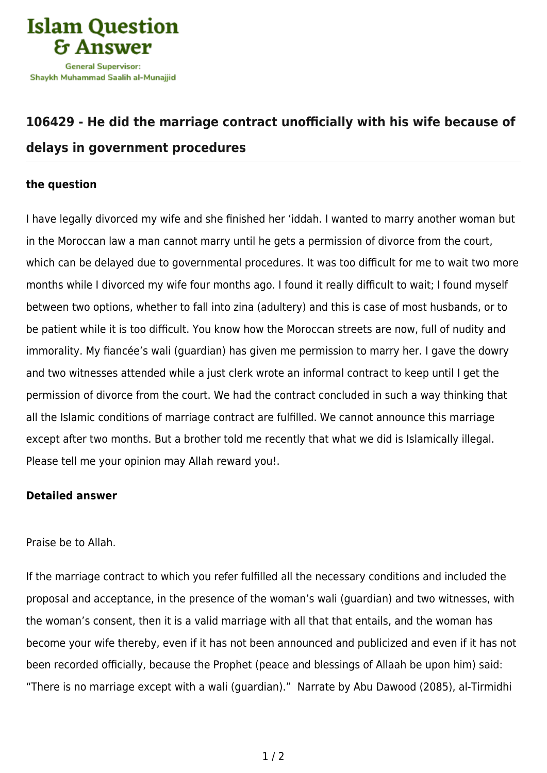

## **[106429 - He did the marriage contract unofficially with his wife because of](https://islamqa.com/en/answers/106429/he-did-the-marriage-contract-unofficially-with-his-wife-because-of-delays-in-government-procedures) [delays in government procedures](https://islamqa.com/en/answers/106429/he-did-the-marriage-contract-unofficially-with-his-wife-because-of-delays-in-government-procedures)**

## **the question**

I have legally divorced my wife and she finished her 'iddah. I wanted to marry another woman but in the Moroccan law a man cannot marry until he gets a permission of divorce from the court, which can be delayed due to governmental procedures. It was too difficult for me to wait two more months while I divorced my wife four months ago. I found it really difficult to wait; I found myself between two options, whether to fall into zina (adultery) and this is case of most husbands, or to be patient while it is too difficult. You know how the Moroccan streets are now, full of nudity and immorality. My fiancée's wali (guardian) has given me permission to marry her. I gave the dowry and two witnesses attended while a just clerk wrote an informal contract to keep until I get the permission of divorce from the court. We had the contract concluded in such a way thinking that all the Islamic conditions of marriage contract are fulfilled. We cannot announce this marriage except after two months. But a brother told me recently that what we did is Islamically illegal. Please tell me your opinion may Allah reward you!.

## **Detailed answer**

## Praise be to Allah.

If the marriage contract to which you refer fulfilled all the necessary conditions and included the proposal and acceptance, in the presence of the woman's wali (guardian) and two witnesses, with the woman's consent, then it is a valid marriage with all that that entails, and the woman has become your wife thereby, even if it has not been announced and publicized and even if it has not been recorded officially, because the Prophet (peace and blessings of Allaah be upon him) said: "There is no marriage except with a wali (guardian)." Narrate by Abu Dawood (2085), al-Tirmidhi